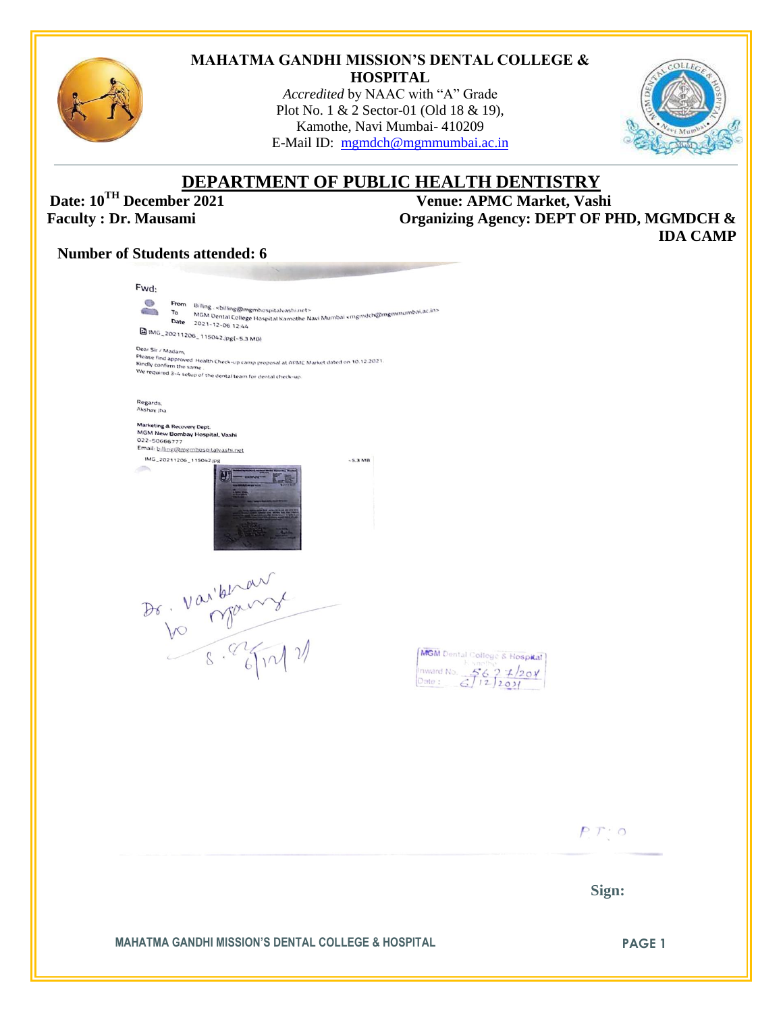

#### **MAHATMA GANDHI MISSION'S DENTAL COLLEGE & HOSPITAL**

*Accredited* by NAAC with "A" Grade Plot No. 1 & 2 Sector-01 (Old 18 & 19), Kamothe, Navi Mumbai- 410209 E-Mail ID: [mgmdch@mgmmumbai.ac.in](mailto:mgmdch@mgmmumbai.ac.in)



# **DEPARTMENT OF PUBLIC HEALTH DENTISTRY**<br>Venue: APMC Market, Vash

**Date: 10<sup>TH</sup> December 2021** Venue: APMC Market, Vashi<br>Faculty : Dr. Mausami Organizing Agency: DEPT OF PI **Faculty : DEPT OF PHD, MGMDCH & IDA CAMP**

# **Number of Students attended: 6**

| <b>MAHATMA GANDHI MISSION'S DENTAL COLLEGE &amp; HOSPITAL</b>                                                                                                                                                    | Sign:<br><b>PAGE 1</b> |
|------------------------------------------------------------------------------------------------------------------------------------------------------------------------------------------------------------------|------------------------|
|                                                                                                                                                                                                                  | PT:0                   |
|                                                                                                                                                                                                                  |                        |
| Dr. Varional<br>MGM Dental College & Hospital<br>Inward No. 5627/2010<br>Date: 6712001                                                                                                                           |                        |
|                                                                                                                                                                                                                  |                        |
|                                                                                                                                                                                                                  |                        |
| Marketing & Recovery Dept.<br>MGM New Bombay Hospital, Vashi<br>022-50666777<br>Email: billing@mgmhespitalvashi.net<br>IMG_20211206_115042.jpg<br>$-5.3MB$<br>$\blacksquare$                                     |                        |
| Regards.<br>Akshay Jha                                                                                                                                                                                           |                        |
| Dear Sir / Madam,<br>Please find approved Health Check-up camp proposal at APMC Market dated on 10.12.2021.<br>Kingh<br>Kindly confirm the same<br>We required 3-4 setup of the dental team for dental check-up. |                        |
| MGM Dental College Hospital Kamothe Navi Mumbai kingindch@ingminumbai.ac.in><br>2021-11-06-01-020-2021<br>Date 2021-12-06 12:44<br>MG_20211206_115042.jpg(-5.3 MB)                                               |                        |
| CB.<br>From Billing . < billing@mgmhospitalvashi.net><br>$n = 2n$                                                                                                                                                |                        |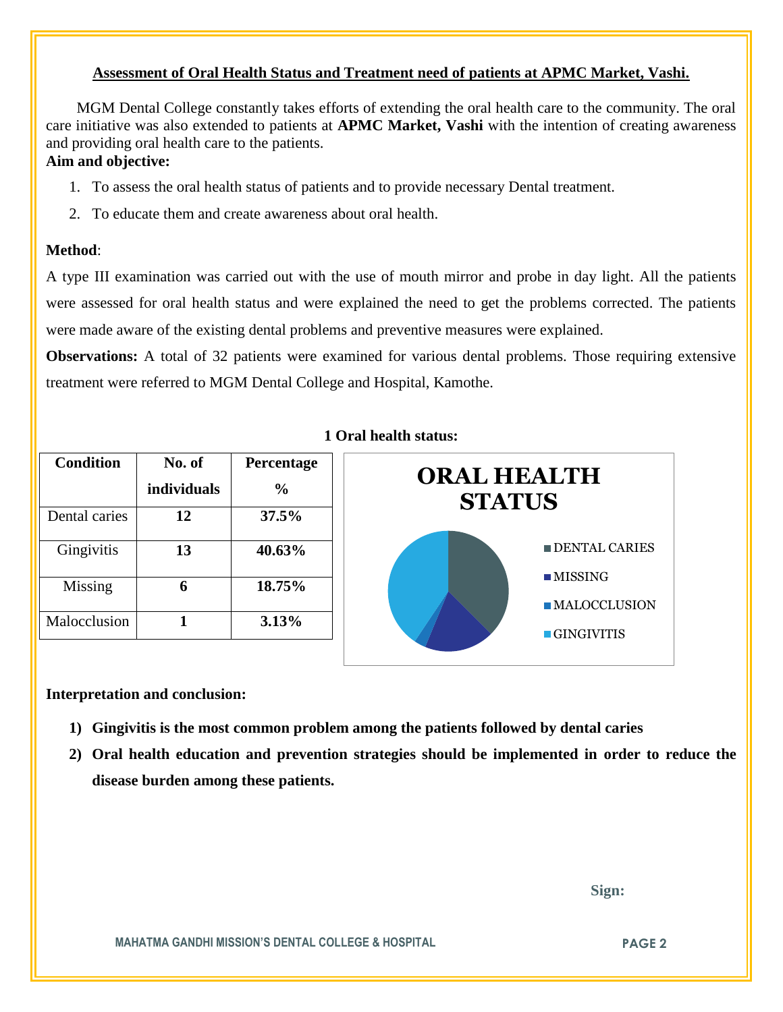# **Assessment of Oral Health Status and Treatment need of patients at APMC Market, Vashi.**

 MGM Dental College constantly takes efforts of extending the oral health care to the community. The oral care initiative was also extended to patients at **APMC Market, Vashi** with the intention of creating awareness and providing oral health care to the patients.

# **Aim and objective:**

- 1. To assess the oral health status of patients and to provide necessary Dental treatment.
- 2. To educate them and create awareness about oral health.

#### **Method**:

A type III examination was carried out with the use of mouth mirror and probe in day light. All the patients were assessed for oral health status and were explained the need to get the problems corrected. The patients were made aware of the existing dental problems and preventive measures were explained.

**Observations:** A total of 32 patients were examined for various dental problems. Those requiring extensive treatment were referred to MGM Dental College and Hospital, Kamothe.

| <b>Condition</b> | No. of      | Percentage |
|------------------|-------------|------------|
|                  | individuals | $\%$       |
| Dental caries    | 12          | 37.5%      |
| Gingivitis       | 13          | 40.63%     |
| Missing          |             | 18.75%     |
| Malocclusion     |             | 3.13%      |

#### **1 Oral health status:**



#### **Interpretation and conclusion:**

- **1) Gingivitis is the most common problem among the patients followed by dental caries**
- **2) Oral health education and prevention strategies should be implemented in order to reduce the disease burden among these patients.**

 **Sign:**

**MAHATMA GANDHI MISSION'S DENTAL COLLEGE & HOSPITAL PAGE 2**